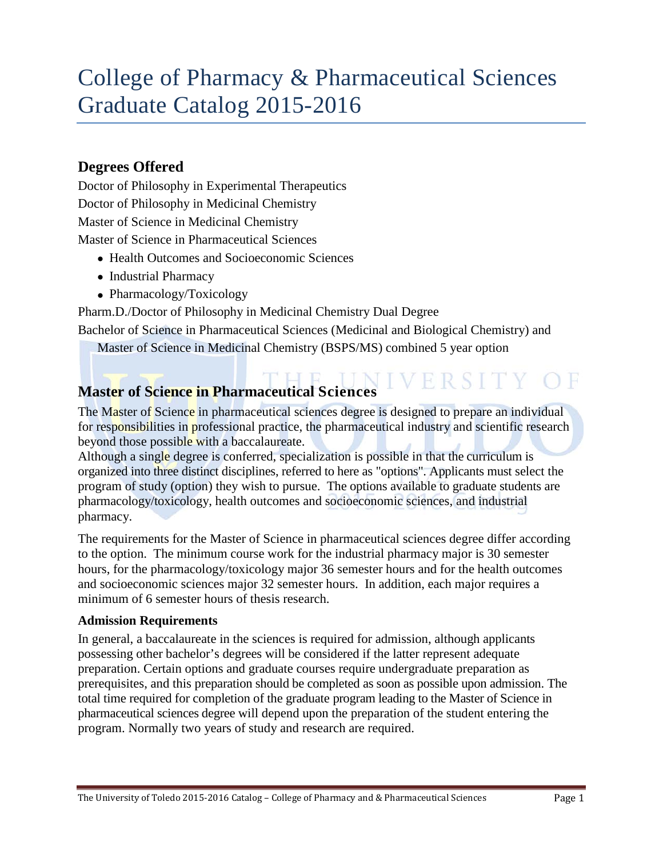# College of Pharmacy & Pharmaceutical Sciences Graduate Catalog 2015-2016

## **Degrees Offered**

Doctor of Philosophy in Experimental Therapeutics Doctor of Philosophy in Medicinal Chemistry Master of Science in Medicinal Chemistry Master of Science in Pharmaceutical Sciences

- Health Outcomes and Socioeconomic Sciences
- Industrial Pharmacy
- Pharmacology/Toxicology

Pharm.D./Doctor of Philosophy in Medicinal Chemistry Dual Degree

Bachelor of Science in Pharmaceutical Sciences (Medicinal and Biological Chemistry) and

Master of Science in Medicinal Chemistry (BSPS/MS) combined 5 year option

# **Master of Science in Pharmaceutical Sciences**

The Master of Science in pharmaceutical sciences degree is designed to prepare an individual for responsibilities in professional practice, the pharmaceutical industry and scientific research beyond those possible with a baccalaureate.

Although a single degree is conferred, specialization is possible in that the curriculum is organized into three distinct disciplines, referred to here as "options". Applicants must select the program of study (option) they wish to pursue. The options available to graduate students are pharmacology/toxicology, health outcomes and socioeconomic sciences, and industrial pharmacy.

The requirements for the Master of Science in pharmaceutical sciences degree differ according to the option. The minimum course work for the industrial pharmacy major is 30 semester hours, for the pharmacology/toxicology major 36 semester hours and for the health outcomes and socioeconomic sciences major 32 semester hours. In addition, each major requires a minimum of 6 semester hours of thesis research.

## **Admission Requirements**

In general, a baccalaureate in the sciences is required for admission, although applicants possessing other bachelor's degrees will be considered if the latter represent adequate preparation. Certain options and graduate courses require undergraduate preparation as prerequisites, and this preparation should be completed as soon as possible upon admission. The total time required for completion of the graduate program leading to the Master of Science in pharmaceutical sciences degree will depend upon the preparation of the student entering the program. Normally two years of study and research are required.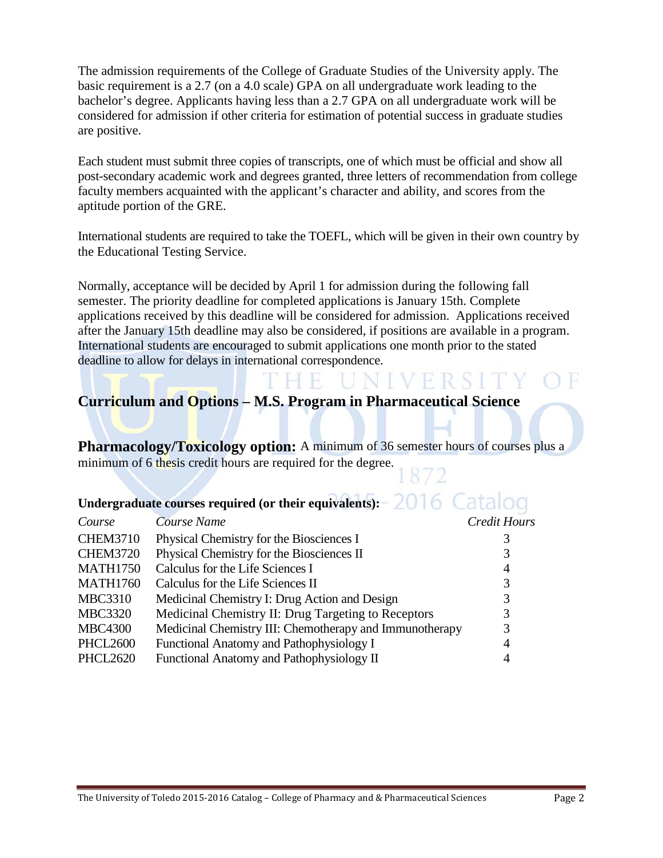The admission requirements of the College of Graduate Studies of the University apply. The basic requirement is a 2.7 (on a 4.0 scale) GPA on all undergraduate work leading to the bachelor's degree. Applicants having less than a 2.7 GPA on all undergraduate work will be considered for admission if other criteria for estimation of potential success in graduate studies are positive.

Each student must submit three copies of transcripts, one of which must be official and show all post-secondary academic work and degrees granted, three letters of recommendation from college faculty members acquainted with the applicant's character and ability, and scores from the aptitude portion of the GRE.

International students are required to take the TOEFL, which will be given in their own country by the Educational Testing Service.

Normally, acceptance will be decided by April 1 for admission during the following fall semester. The priority deadline for completed applications is January 15th. Complete applications received by this deadline will be considered for admission. Applications received after the January 15th deadline may also be considered, if positions are available in a program. International students are encouraged to submit applications one month prior to the stated deadline to allow for delays in international correspondence.

NIVERSITY

## **Curriculum and Options – M.S. Program in Pharmaceutical Science**

H H

**Pharmacology/Toxicology option:** A minimum of 36 semester hours of courses plus a minimum of 6 thesis credit hours are required for the degree.

## Undergraduate courses required (or their equivalents): 2016 Catalog

| Course          | Course Name                                             | <b>Credit Hours</b> |
|-----------------|---------------------------------------------------------|---------------------|
| <b>CHEM3710</b> | Physical Chemistry for the Biosciences I                |                     |
| <b>CHEM3720</b> | Physical Chemistry for the Biosciences II               | 3                   |
| <b>MATH1750</b> | Calculus for the Life Sciences I                        | $\overline{4}$      |
| <b>MATH1760</b> | Calculus for the Life Sciences II                       | 3                   |
| <b>MBC3310</b>  | Medicinal Chemistry I: Drug Action and Design           | 3                   |
| <b>MBC3320</b>  | Medicinal Chemistry II: Drug Targeting to Receptors     | 3                   |
| <b>MBC4300</b>  | Medicinal Chemistry III: Chemotherapy and Immunotherapy | 3                   |
| <b>PHCL2600</b> | Functional Anatomy and Pathophysiology I                | $\overline{4}$      |
| <b>PHCL2620</b> | Functional Anatomy and Pathophysiology II               | 4                   |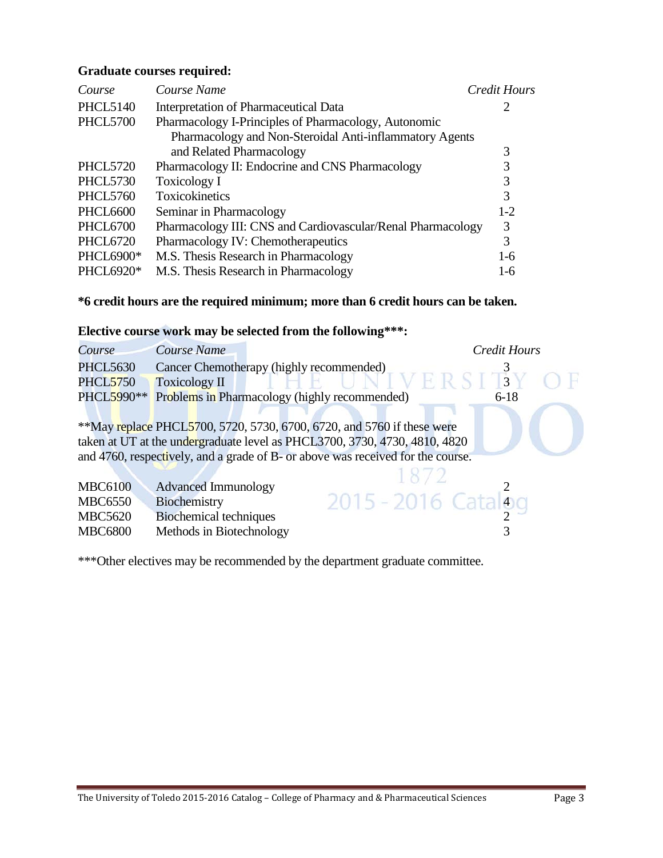#### **Graduate courses required:**

| Course           | Course Name                                                 | <b>Credit Hours</b> |
|------------------|-------------------------------------------------------------|---------------------|
| <b>PHCL5140</b>  | Interpretation of Pharmaceutical Data                       | 2                   |
| <b>PHCL5700</b>  | Pharmacology I-Principles of Pharmacology, Autonomic        |                     |
|                  | Pharmacology and Non-Steroidal Anti-inflammatory Agents     |                     |
|                  | and Related Pharmacology                                    | 3                   |
| <b>PHCL5720</b>  | Pharmacology II: Endocrine and CNS Pharmacology             | 3                   |
| <b>PHCL5730</b>  | Toxicology I                                                | 3                   |
| <b>PHCL5760</b>  | Toxicokinetics                                              | 3                   |
| <b>PHCL6600</b>  | Seminar in Pharmacology                                     | $1-2$               |
| <b>PHCL6700</b>  | Pharmacology III: CNS and Cardiovascular/Renal Pharmacology | 3                   |
| <b>PHCL6720</b>  | Pharmacology IV: Chemotherapeutics                          | 3                   |
| <b>PHCL6900*</b> | M.S. Thesis Research in Pharmacology                        | $1-6$               |
| PHCL6920*        | M.S. Thesis Research in Pharmacology                        | $1-6$               |

## **\*6 credit hours are the required minimum; more than 6 credit hours can be taken.**

## **Elective course work may be selected from the following\*\*\*:**

| Course          | Course Name                   |                                                                                 | <b>Credit Hours</b> |  |
|-----------------|-------------------------------|---------------------------------------------------------------------------------|---------------------|--|
| <b>PHCL5630</b> |                               | Cancer Chemotherapy (highly recommended)                                        |                     |  |
| <b>PHCL5750</b> | <b>Toxicology II</b>          |                                                                                 | $\vert 3 \vert$     |  |
| PHCL5990**      |                               | Problems in Pharmacology (highly recommended)                                   | $6 - 18$            |  |
|                 |                               |                                                                                 |                     |  |
|                 |                               | **May replace PHCL5700, 5720, 5730, 6700, 6720, and 5760 if these were          |                     |  |
|                 |                               | taken at UT at the undergraduate level as PHCL3700, 3730, 4730, 4810, 4820      |                     |  |
|                 |                               | and 4760, respectively, and a grade of B- or above was received for the course. |                     |  |
|                 |                               |                                                                                 |                     |  |
| <b>MBC6100</b>  | <b>Advanced Immunology</b>    |                                                                                 |                     |  |
| <b>MBC6550</b>  | Biochemistry                  | $2015 - 2016$ Catalog                                                           |                     |  |
| <b>MBC5620</b>  | <b>Biochemical techniques</b> |                                                                                 |                     |  |
| <b>MBC6800</b>  | Methods in Biotechnology      |                                                                                 |                     |  |

\*\*\*Other electives may be recommended by the department graduate committee.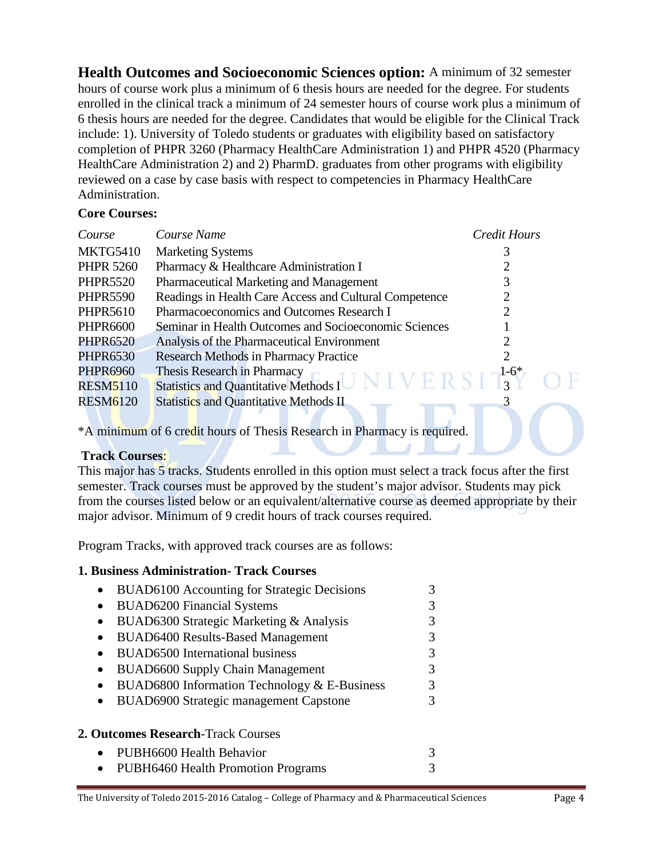**Health Outcomes and Socioeconomic Sciences option:** A minimum of 32 semester hours of course work plus a minimum of 6 thesis hours are needed for the degree. For students enrolled in the clinical track a minimum of 24 semester hours of course work plus a minimum of 6 thesis hours are needed for the degree. Candidates that would be eligible for the Clinical Track include: 1). University of Toledo students or graduates with eligibility based on satisfactory completion of PHPR 3260 (Pharmacy HealthCare Administration 1) and PHPR 4520 (Pharmacy HealthCare Administration 2) and 2) PharmD. graduates from other programs with eligibility reviewed on a case by case basis with respect to competencies in Pharmacy HealthCare Administration.

#### **Core Courses:**

| Course           | Course Name                                            | <b>Credit Hours</b> |
|------------------|--------------------------------------------------------|---------------------|
| <b>MKTG5410</b>  | <b>Marketing Systems</b>                               |                     |
| <b>PHPR 5260</b> | Pharmacy & Healthcare Administration I                 |                     |
| <b>PHPR5520</b>  | Pharmaceutical Marketing and Management                |                     |
| <b>PHPR5590</b>  | Readings in Health Care Access and Cultural Competence |                     |
| <b>PHPR5610</b>  | Pharmacoeconomics and Outcomes Research I              |                     |
| <b>PHPR6600</b>  | Seminar in Health Outcomes and Socioeconomic Sciences  |                     |
| <b>PHPR6520</b>  | Analysis of the Pharmaceutical Environment             |                     |
| <b>PHPR6530</b>  | <b>Research Methods in Pharmacy Practice</b>           |                     |
| <b>PHPR6960</b>  | Thesis Research in Pharmacy                            | $1-6*$              |
| <b>RESM5110</b>  | <b>Statistics and Quantitative Methods I</b>           | $\mathbf{r}$        |
| <b>RESM6120</b>  | <b>Statistics and Quantitative Methods II</b>          |                     |
|                  |                                                        |                     |

\*A minimum of 6 credit hours of Thesis Research in Pharmacy is required.

## **Track Courses**:

This major has 5 tracks. Students enrolled in this option must select a track focus after the first semester. Track courses must be approved by the student's major advisor. Students may pick from the courses listed below or an equivalent/alternative course as deemed appropriate by their major advisor. Minimum of 9 credit hours of track courses required.

Program Tracks, with approved track courses are as follows:

## **1. Business Administration- Track Courses**

|           | <b>BUAD6100</b> Accounting for Strategic Decisions                                                                                                                                                                                                                                                                                                                                                                                                            |   |
|-----------|---------------------------------------------------------------------------------------------------------------------------------------------------------------------------------------------------------------------------------------------------------------------------------------------------------------------------------------------------------------------------------------------------------------------------------------------------------------|---|
| $\bullet$ | <b>BUAD6200 Financial Systems</b>                                                                                                                                                                                                                                                                                                                                                                                                                             | 3 |
| $\bullet$ | BUAD6300 Strategic Marketing & Analysis                                                                                                                                                                                                                                                                                                                                                                                                                       | 3 |
| $\bullet$ | <b>BUAD6400 Results-Based Management</b>                                                                                                                                                                                                                                                                                                                                                                                                                      | 3 |
| $\bullet$ | <b>BUAD6500</b> International business                                                                                                                                                                                                                                                                                                                                                                                                                        | 3 |
|           | <b>BUAD6600 Supply Chain Management</b>                                                                                                                                                                                                                                                                                                                                                                                                                       | 3 |
| $\bullet$ | BUAD6800 Information Technology & E-Business                                                                                                                                                                                                                                                                                                                                                                                                                  | 3 |
| $\bullet$ | <b>BUAD6900 Strategic management Capstone</b>                                                                                                                                                                                                                                                                                                                                                                                                                 |   |
|           | <b>2. Outcomes Research-Track Courses</b>                                                                                                                                                                                                                                                                                                                                                                                                                     |   |
| $\bullet$ | PUBH6600 Health Behavior                                                                                                                                                                                                                                                                                                                                                                                                                                      |   |
|           | $\overline{\mathbf{D}}$ $\overline{\mathbf{D}}$ $\overline{\mathbf{D}}$ $\overline{\mathbf{D}}$ $\overline{\mathbf{D}}$ $\overline{\mathbf{D}}$ $\overline{\mathbf{D}}$ $\overline{\mathbf{D}}$ $\overline{\mathbf{D}}$ $\overline{\mathbf{D}}$ $\overline{\mathbf{D}}$ $\overline{\mathbf{D}}$ $\overline{\mathbf{D}}$ $\overline{\mathbf{D}}$ $\overline{\mathbf{D}}$ $\overline{\mathbf{D}}$ $\overline{\mathbf{D}}$ $\overline{\mathbf{D}}$ $\overline{\$ |   |

• PUBH6460 Health Promotion Programs 3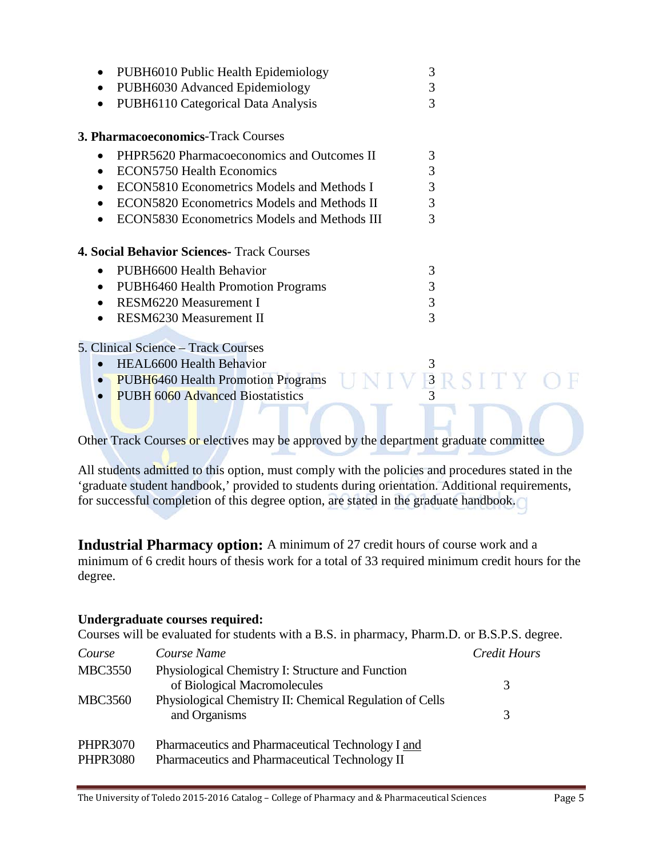| PUBH6010 Public Health Epidemiology<br>$\bullet$<br>PUBH6030 Advanced Epidemiology<br>$\bullet$<br>PUBH6110 Categorical Data Analysis<br>$\bullet$ | 3<br>3<br>3 |  |
|----------------------------------------------------------------------------------------------------------------------------------------------------|-------------|--|
| <b>3. Pharmacoeconomics-Track Courses</b>                                                                                                          |             |  |
| PHPR5620 Pharmacoeconomics and Outcomes II<br>$\bullet$                                                                                            | 3           |  |
| <b>ECON5750 Health Economics</b><br>$\bullet$                                                                                                      | 3           |  |
| ECON5810 Econometrics Models and Methods I<br>٠                                                                                                    | 3           |  |
| ECON5820 Econometrics Models and Methods II<br>$\bullet$                                                                                           | 3           |  |
| ECON5830 Econometrics Models and Methods III<br>$\bullet$                                                                                          | 3           |  |
| <b>4. Social Behavior Sciences- Track Courses</b>                                                                                                  |             |  |
| PUBH6600 Health Behavior<br>$\bullet$                                                                                                              | 3           |  |
| <b>PUBH6460 Health Promotion Programs</b><br>$\bullet$                                                                                             | 3           |  |
| <b>RESM6220 Measurement I</b><br>$\bullet$                                                                                                         | 3           |  |
| RESM6230 Measurement II<br>$\bullet$                                                                                                               | 3           |  |
|                                                                                                                                                    |             |  |
| 5. Clinical Science – Track Courses                                                                                                                |             |  |
| HEAL6600 Health Behavior<br>$\bullet$                                                                                                              | 3           |  |

- PUBH6460 Health Promotion Programs  $UNIVBRSITY$ <br>• PUBH 6060 Advanced Biostatistics
- PUBH 6060 Advanced Biostatistics

Other Track Courses or electives may be approved by the department graduate committee

All students admitted to this option, must comply with the policies and procedures stated in the 'graduate student handbook,' provided to students during orientation. Additional requirements, for successful completion of this degree option, are stated in the graduate handbook.

**Industrial Pharmacy option:** A minimum of 27 credit hours of course work and a minimum of 6 credit hours of thesis work for a total of 33 required minimum credit hours for the degree.

#### **Undergraduate courses required:**

Courses will be evaluated for students with a B.S. in pharmacy, Pharm.D. or B.S.P.S. degree.

| Course                             | Course Name                                                                                         | Credit Hours |
|------------------------------------|-----------------------------------------------------------------------------------------------------|--------------|
| <b>MBC3550</b>                     | Physiological Chemistry I: Structure and Function<br>of Biological Macromolecules                   | 3            |
| <b>MBC3560</b>                     | Physiological Chemistry II: Chemical Regulation of Cells<br>and Organisms                           | 3            |
| <b>PHPR3070</b><br><b>PHPR3080</b> | Pharmaceutics and Pharmaceutical Technology I and<br>Pharmaceutics and Pharmaceutical Technology II |              |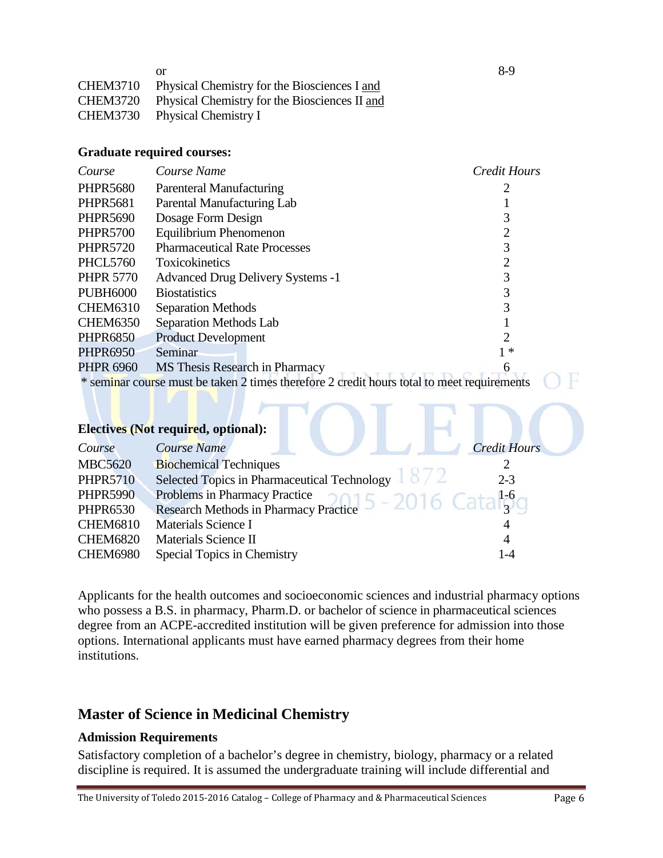|                 | or                                                     | 8-9 |
|-----------------|--------------------------------------------------------|-----|
| <b>CHEM3710</b> | Physical Chemistry for the Biosciences I and           |     |
|                 | CHEM3720 Physical Chemistry for the Biosciences II and |     |
|                 | CHEM3730 Physical Chemistry I                          |     |

#### **Graduate required courses:**

| Course           | Course Name                                                                                | <b>Credit Hours</b> |
|------------------|--------------------------------------------------------------------------------------------|---------------------|
| <b>PHPR5680</b>  | Parenteral Manufacturing                                                                   |                     |
| <b>PHPR5681</b>  | Parental Manufacturing Lab                                                                 |                     |
| <b>PHPR5690</b>  | Dosage Form Design                                                                         | 3                   |
| <b>PHPR5700</b>  | Equilibrium Phenomenon                                                                     | 2                   |
| <b>PHPR5720</b>  | <b>Pharmaceutical Rate Processes</b>                                                       | 3                   |
| <b>PHCL5760</b>  | <b>Toxicokinetics</b>                                                                      | 2                   |
| <b>PHPR 5770</b> | <b>Advanced Drug Delivery Systems -1</b>                                                   | 3                   |
| <b>PUBH6000</b>  | <b>Biostatistics</b>                                                                       | 3                   |
| <b>CHEM6310</b>  | <b>Separation Methods</b>                                                                  |                     |
| <b>CHEM6350</b>  | Separation Methods Lab                                                                     |                     |
| <b>PHPR6850</b>  | <b>Product Development</b>                                                                 |                     |
| <b>PHPR6950</b>  | Seminar                                                                                    | ∗                   |
| <b>PHPR 6960</b> | MS Thesis Research in Pharmacy                                                             |                     |
|                  | * seminar course must be taken 2 times therefore 2 credit hours total to meet requirements |                     |
|                  |                                                                                            |                     |
|                  | <b>Electives (Not required, optional):</b>                                                 |                     |
| Course           | <b>Course Name</b>                                                                         | <b>Credit Hours</b> |

| $_{\rm \nu \nu}$ | Course Ivanie                                                                                                                                               | Create Hours |
|------------------|-------------------------------------------------------------------------------------------------------------------------------------------------------------|--------------|
| <b>MBC5620</b>   | <b>Biochemical Techniques</b>                                                                                                                               |              |
| <b>PHPR5710</b>  | Selected Topics in Pharmaceutical Technology 1872                                                                                                           | $2 - 3$      |
| <b>PHPR5990</b>  | Problems in Pharmacy Practice $5 - 2016$ Catal <sub>3</sub> <sup>1-6</sup> Research Methods in Pharmacy Practice $5 - 2016$ Catal <sub>3</sub> <sup>0</sup> |              |
| <b>PHPR6530</b>  |                                                                                                                                                             |              |
| <b>CHEM6810</b>  | Materials Science I                                                                                                                                         |              |
| <b>CHEM6820</b>  | Materials Science II                                                                                                                                        | 4            |
| <b>CHEM6980</b>  | Special Topics in Chemistry                                                                                                                                 | 1-4          |
|                  |                                                                                                                                                             |              |

Applicants for the health outcomes and socioeconomic sciences and industrial pharmacy options who possess a B.S. in pharmacy, Pharm.D. or bachelor of science in pharmaceutical sciences degree from an ACPE-accredited institution will be given preference for admission into those options. International applicants must have earned pharmacy degrees from their home institutions.

## **Master of Science in Medicinal Chemistry**

## **Admission Requirements**

Satisfactory completion of a bachelor's degree in chemistry, biology, pharmacy or a related discipline is required. It is assumed the undergraduate training will include differential and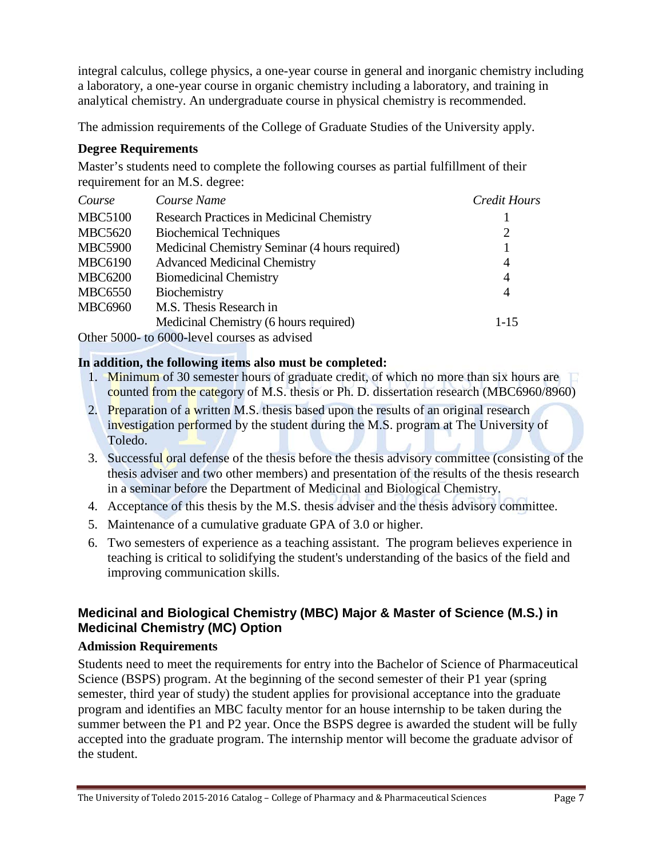integral calculus, college physics, a one-year course in general and inorganic chemistry including a laboratory, a one-year course in organic chemistry including a laboratory, and training in analytical chemistry. An undergraduate course in physical chemistry is recommended.

The admission requirements of the College of Graduate Studies of the University apply.

## **Degree Requirements**

Master's students need to complete the following courses as partial fulfillment of their requirement for an M.S. degree:

| Course         | Course Name                                      | Credit Hours |
|----------------|--------------------------------------------------|--------------|
| <b>MBC5100</b> | <b>Research Practices in Medicinal Chemistry</b> |              |
| <b>MBC5620</b> | <b>Biochemical Techniques</b>                    | 2            |
| <b>MBC5900</b> | Medicinal Chemistry Seminar (4 hours required)   |              |
| <b>MBC6190</b> | <b>Advanced Medicinal Chemistry</b>              | 4            |
| <b>MBC6200</b> | <b>Biomedicinal Chemistry</b>                    | 4            |
| <b>MBC6550</b> | Biochemistry                                     | 4            |
| <b>MBC6960</b> | M.S. Thesis Research in                          |              |
|                | Medicinal Chemistry (6 hours required)           | $1-15$       |
|                | Other 5000- to 6000-level courses as advised     |              |

**In addition, the following items also must be completed:**

- 1. Minimum of 30 semester hours of graduate credit, of which no more than six hours are counted from the category of M.S. thesis or Ph. D. dissertation research (MBC6960/8960)
- 2. Preparation of a written M.S. thesis based upon the results of an original research investigation performed by the student during the M.S. program at The University of Toledo.
- 3. Successful oral defense of the thesis before the thesis advisory committee (consisting of the thesis adviser and two other members) and presentation of the results of the thesis research in a seminar before the Department of Medicinal and Biological Chemistry.
- 4. Acceptance of this thesis by the M.S. thesis adviser and the thesis advisory committee.
- 5. Maintenance of a cumulative graduate GPA of 3.0 or higher.
- 6. Two semesters of experience as a teaching assistant. The program believes experience in teaching is critical to solidifying the student's understanding of the basics of the field and improving communication skills.

## **Medicinal and Biological Chemistry (MBC) Major & Master of Science (M.S.) in Medicinal Chemistry (MC) Option**

## **Admission Requirements**

Students need to meet the requirements for entry into the Bachelor of Science of Pharmaceutical Science (BSPS) program. At the beginning of the second semester of their P1 year (spring semester, third year of study) the student applies for provisional acceptance into the graduate program and identifies an MBC faculty mentor for an house internship to be taken during the summer between the P1 and P2 year. Once the BSPS degree is awarded the student will be fully accepted into the graduate program. The internship mentor will become the graduate advisor of the student.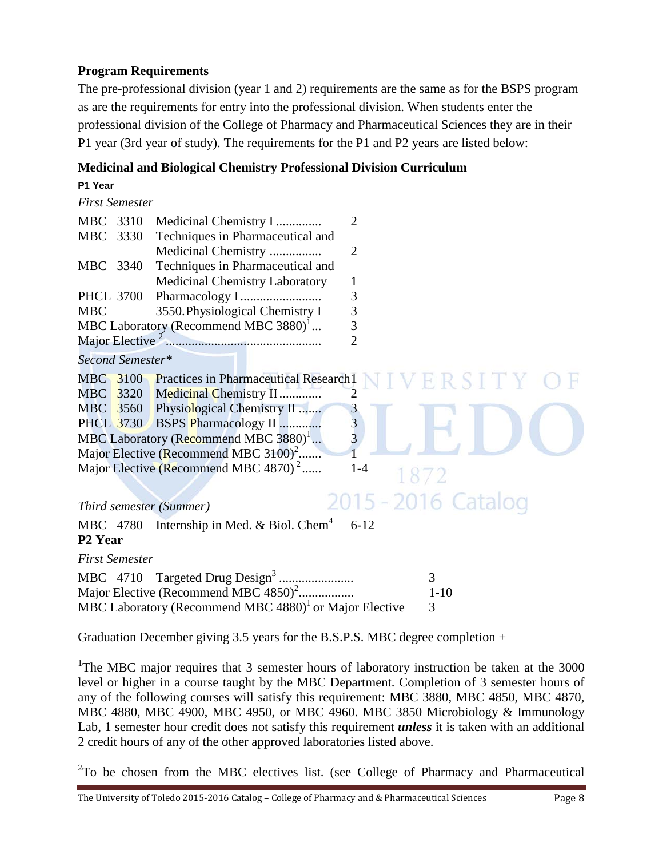## **Program Requirements**

The pre-professional division (year 1 and 2) requirements are the same as for the BSPS program as are the requirements for entry into the professional division. When students enter the professional division of the College of Pharmacy and Pharmaceutical Sciences they are in their P1 year (3rd year of study). The requirements for the P1 and P2 years are listed below:

## **Medicinal and Biological Chemistry Professional Division Curriculum**

| <b>First Semester</b> |                                                                     |
|-----------------------|---------------------------------------------------------------------|
| MBC 3310              | Medicinal Chemistry I<br>2                                          |
| MBC 3330              | Techniques in Pharmaceutical and                                    |
|                       | Medicinal Chemistry<br>$\overline{2}$                               |
| MBC 3340              | Techniques in Pharmaceutical and                                    |
|                       | Medicinal Chemistry Laboratory<br>1                                 |
| <b>PHCL 3700</b>      | $\mathfrak{Z}$                                                      |
| <b>MBC</b>            | $\overline{3}$<br>3550. Physiological Chemistry I                   |
|                       | $\overline{3}$<br>MBC Laboratory (Recommend MBC 3880) $^1$          |
|                       | $\overline{2}$                                                      |
| Second Semester*      |                                                                     |
|                       | MBC 3100 Practices in Pharmaceutical Research1                      |
| <b>MBC</b>            | 3320 Medicinal Chemistry II<br>$\overline{2}$                       |
|                       | MBC 3560 Physiological Chemistry II                                 |
|                       | $\frac{3}{3}$<br>PHCL 3730 BSPS Pharmacology II                     |
|                       | MBC Laboratory (Recommend MBC 3880) <sup>1</sup>                    |
|                       | Major Elective (Recommend MBC $3100$ <sup>2</sup>                   |
|                       | Major Elective (Recommend MBC 4870) <sup>2</sup><br>$1-4$           |
|                       |                                                                     |
|                       | 2015 - 2016 Catalog<br>Third semester (Summer)                      |
|                       | MBC $4780$ Internship in Med. & Biol. Chem <sup>4</sup><br>$6 - 12$ |
| P <sub>2</sub> Year   |                                                                     |
| <b>First Semester</b> |                                                                     |
|                       | 3                                                                   |
|                       | Major Elective (Recommend MBC 4850) <sup>2</sup><br>$1 - 10$        |

Graduation December giving 3.5 years for the B.S.P.S. MBC degree completion +

MBC Laboratory (Recommend MBC  $4880<sup>1</sup>$  or Major Elective 3

<sup>1</sup>The MBC major requires that 3 semester hours of laboratory instruction be taken at the 3000 level or higher in a course taught by the MBC Department. Completion of 3 semester hours of any of the following courses will satisfy this requirement: MBC 3880, MBC 4850, MBC 4870, MBC 4880, MBC 4900, MBC 4950, or MBC 4960. MBC 3850 Microbiology & Immunology Lab, 1 semester hour credit does not satisfy this requirement *unless* it is taken with an additional 2 credit hours of any of the other approved laboratories listed above.

 $2^2$ To be chosen from the MBC electives list. (see College of Pharmacy and Pharmaceutical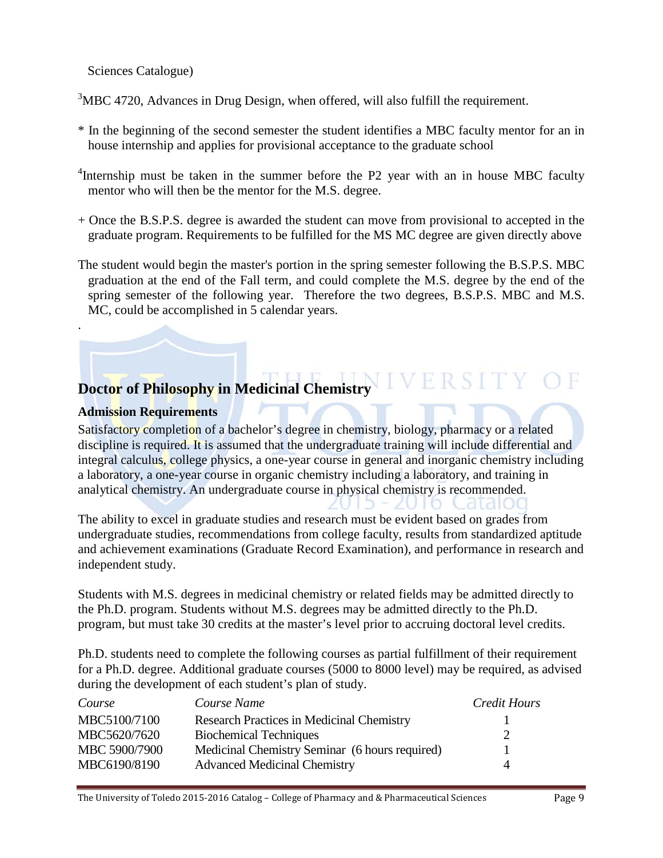Sciences Catalogue)

 $3$ MBC 4720, Advances in Drug Design, when offered, will also fulfill the requirement.

- \* In the beginning of the second semester the student identifies a MBC faculty mentor for an in house internship and applies for provisional acceptance to the graduate school
- <sup>4</sup>Internship must be taken in the summer before the P2 year with an in house MBC faculty mentor who will then be the mentor for the M.S. degree.
- + Once the B.S.P.S. degree is awarded the student can move from provisional to accepted in the graduate program. Requirements to be fulfilled for the MS MC degree are given directly above
- The student would begin the master's portion in the spring semester following the B.S.P.S. MBC graduation at the end of the Fall term, and could complete the M.S. degree by the end of the spring semester of the following year. Therefore the two degrees, B.S.P.S. MBC and M.S. MC, could be accomplished in 5 calendar years.

## **Doctor of Philosophy in Medicinal Chemistry**

## **Admission Requirements**

.

Satisfactory completion of a bachelor's degree in chemistry, biology, pharmacy or a related discipline is required. It is assumed that the undergraduate training will include differential and integral calculus, college physics, a one-year course in general and inorganic chemistry including a laboratory, a one-year course in organic chemistry including a laboratory, and training in analytical chemistry. An undergraduate course in physical chemistry is recommended.

The ability to excel in graduate studies and research must be evident based on grades from undergraduate studies, recommendations from college faculty, results from standardized aptitude and achievement examinations (Graduate Record Examination), and performance in research and independent study.

Students with M.S. degrees in medicinal chemistry or related fields may be admitted directly to the Ph.D. program. Students without M.S. degrees may be admitted directly to the Ph.D. program, but must take 30 credits at the master's level prior to accruing doctoral level credits.

Ph.D. students need to complete the following courses as partial fulfillment of their requirement for a Ph.D. degree. Additional graduate courses (5000 to 8000 level) may be required, as advised during the development of each student's plan of study.

| Course        | Course Name                                      | Credit Hours |
|---------------|--------------------------------------------------|--------------|
| MBC5100/7100  | <b>Research Practices in Medicinal Chemistry</b> |              |
| MBC5620/7620  | <b>Biochemical Techniques</b>                    |              |
| MBC 5900/7900 | Medicinal Chemistry Seminar (6 hours required)   |              |
| MBC6190/8190  | <b>Advanced Medicinal Chemistry</b>              | 4            |

The University of Toledo 2015-2016 Catalog – College of Pharmacy and & Pharmaceutical Sciences Page 9

-didi00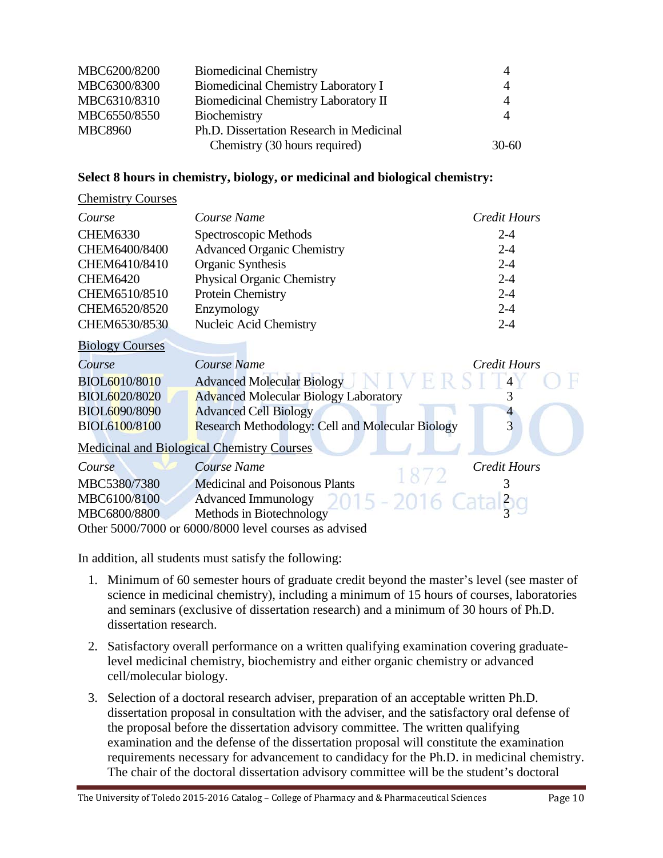| MBC6200/8200   | <b>Biomedicinal Chemistry</b>            | 4              |
|----------------|------------------------------------------|----------------|
| MBC6300/8300   | Biomedicinal Chemistry Laboratory I      | $\overline{4}$ |
| MBC6310/8310   | Biomedicinal Chemistry Laboratory II     | $\overline{4}$ |
| MBC6550/8550   | Biochemistry                             | $\overline{A}$ |
| <b>MBC8960</b> | Ph.D. Dissertation Research in Medicinal |                |
|                | Chemistry (30 hours required)            | $30-60$        |

#### **Select 8 hours in chemistry, biology, or medicinal and biological chemistry:**

#### Chemistry Courses

| Course          | Course Name                       | Credit Hours |
|-----------------|-----------------------------------|--------------|
| <b>CHEM6330</b> | Spectroscopic Methods             | $2 - 4$      |
| CHEM6400/8400   | <b>Advanced Organic Chemistry</b> | $2 - 4$      |
| CHEM6410/8410   | Organic Synthesis                 | $2 - 4$      |
| <b>CHEM6420</b> | <b>Physical Organic Chemistry</b> | $2 - 4$      |
| CHEM6510/8510   | Protein Chemistry                 | $2 - 4$      |
| CHEM6520/8520   | Enzymology                        | $2 - 4$      |
| CHEM6530/8530   | Nucleic Acid Chemistry            | $2 - 4$      |

Biology Courses

| Course               | Course Name                                             | Credit Hours |
|----------------------|---------------------------------------------------------|--------------|
| <b>BIOL6010/8010</b> | <b>Advanced Molecular Biology</b><br>NIVERSI            |              |
| BIOL6020/8020        | <b>Advanced Molecular Biology Laboratory</b>            |              |
| BIOL6090/8090        | <b>Advanced Cell Biology</b>                            |              |
| BIOL6100/8100        | <b>Research Methodology: Cell and Molecular Biology</b> |              |

Medicinal and Biological Chemistry Courses

| Course       | Course Name                                           | Credit Hours |
|--------------|-------------------------------------------------------|--------------|
| MBC5380/7380 | Medicinal and Poisonous Plants                        |              |
| MBC6100/8100 | Advanced Immunology 2015 - 2016 Catal <sub>3</sub> g  |              |
| MBC6800/8800 | Methods in Biotechnology                              |              |
|              | Other 5000/7000 or 6000/8000 level courses as advised |              |

In addition, all students must satisfy the following:

- 1. Minimum of 60 semester hours of graduate credit beyond the master's level (see master of science in medicinal chemistry), including a minimum of 15 hours of courses, laboratories and seminars (exclusive of dissertation research) and a minimum of 30 hours of Ph.D. dissertation research.
- 2. Satisfactory overall performance on a written qualifying examination covering graduatelevel medicinal chemistry, biochemistry and either organic chemistry or advanced cell/molecular biology.
- 3. Selection of a doctoral research adviser, preparation of an acceptable written Ph.D. dissertation proposal in consultation with the adviser, and the satisfactory oral defense of the proposal before the dissertation advisory committee. The written qualifying examination and the defense of the dissertation proposal will constitute the examination requirements necessary for advancement to candidacy for the Ph.D. in medicinal chemistry. The chair of the doctoral dissertation advisory committee will be the student's doctoral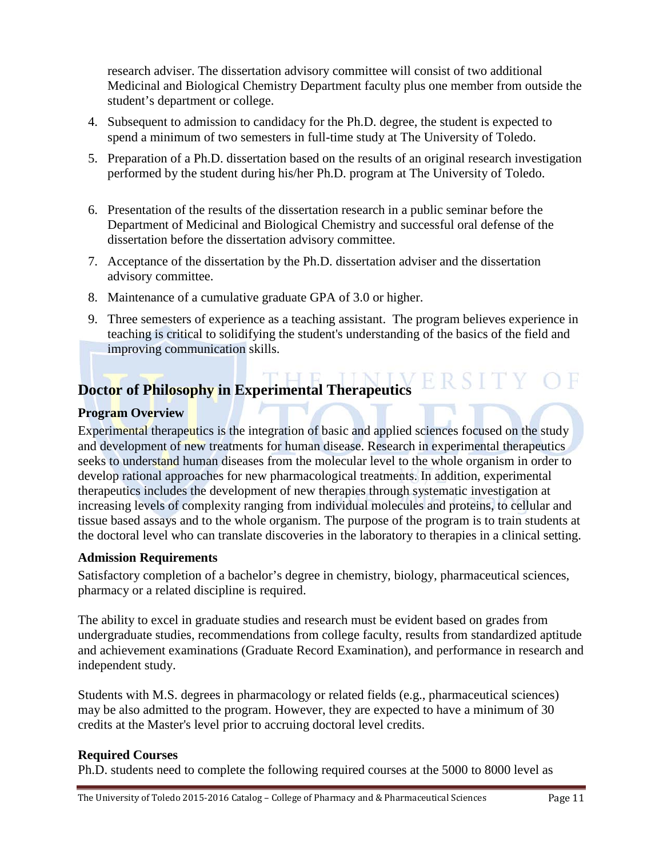research adviser. The dissertation advisory committee will consist of two additional Medicinal and Biological Chemistry Department faculty plus one member from outside the student's department or college.

- 4. Subsequent to admission to candidacy for the Ph.D. degree, the student is expected to spend a minimum of two semesters in full-time study at The University of Toledo.
- 5. Preparation of a Ph.D. dissertation based on the results of an original research investigation performed by the student during his/her Ph.D. program at The University of Toledo.
- 6. Presentation of the results of the dissertation research in a public seminar before the Department of Medicinal and Biological Chemistry and successful oral defense of the dissertation before the dissertation advisory committee.
- 7. Acceptance of the dissertation by the Ph.D. dissertation adviser and the dissertation advisory committee.
- 8. Maintenance of a cumulative graduate GPA of 3.0 or higher.
- 9. Three semesters of experience as a teaching assistant. The program believes experience in teaching is critical to solidifying the student's understanding of the basics of the field and improving communication skills.

## **Doctor of Philosophy in Experimental Therapeutics**

## **Program Overview**

Experimental therapeutics is the integration of basic and applied sciences focused on the study and development of new treatments for human disease. Research in experimental therapeutics seeks to understand human diseases from the molecular level to the whole organism in order to develop rational approaches for new pharmacological treatments. In addition, experimental therapeutics includes the development of new therapies through systematic investigation at increasing levels of complexity ranging from individual molecules and proteins, to cellular and tissue based assays and to the whole organism. The purpose of the program is to train students at the doctoral level who can translate discoveries in the laboratory to therapies in a clinical setting.

## **Admission Requirements**

Satisfactory completion of a bachelor's degree in chemistry, biology, pharmaceutical sciences, pharmacy or a related discipline is required.

The ability to excel in graduate studies and research must be evident based on grades from undergraduate studies, recommendations from college faculty, results from standardized aptitude and achievement examinations (Graduate Record Examination), and performance in research and independent study.

Students with M.S. degrees in pharmacology or related fields (e.g., pharmaceutical sciences) may be also admitted to the program. However, they are expected to have a minimum of 30 credits at the Master's level prior to accruing doctoral level credits.

## **Required Courses**

Ph.D. students need to complete the following required courses at the 5000 to 8000 level as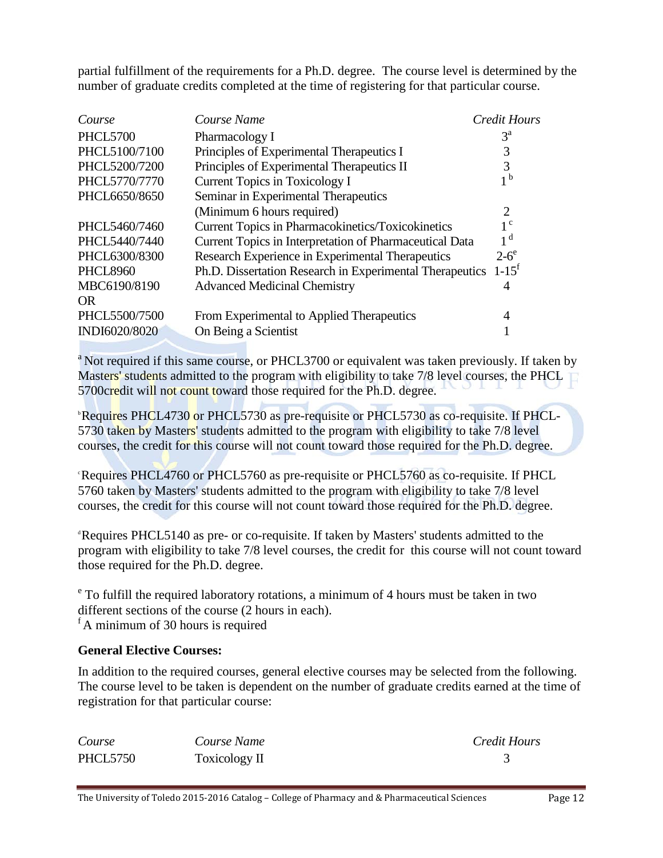partial fulfillment of the requirements for a Ph.D. degree. The course level is determined by the number of graduate credits completed at the time of registering for that particular course.

| Course          | Course Name                                              | Credit Hours           |
|-----------------|----------------------------------------------------------|------------------------|
| <b>PHCL5700</b> | Pharmacology I                                           | $3^{\rm a}$            |
| PHCL5100/7100   | Principles of Experimental Therapeutics I                | 3                      |
| PHCL5200/7200   | Principles of Experimental Therapeutics II               | 3                      |
| PHCL5770/7770   | Current Topics in Toxicology I                           | 1 <sub>b</sub>         |
| PHCL6650/8650   | Seminar in Experimental Therapeutics                     |                        |
|                 | (Minimum 6 hours required)                               | 2                      |
| PHCL5460/7460   | <b>Current Topics in Pharmacokinetics/Toxicokinetics</b> | $1^{\circ}$            |
| PHCL5440/7440   | Current Topics in Interpretation of Pharmaceutical Data  | 1 <sup>d</sup>         |
| PHCL6300/8300   | Research Experience in Experimental Therapeutics         | $2-6^\circ$            |
| <b>PHCL8960</b> | Ph.D. Dissertation Research in Experimental Therapeutics | $1 - 1.5$ <sup>f</sup> |
| MBC6190/8190    | <b>Advanced Medicinal Chemistry</b>                      | 4                      |
| OR.             |                                                          |                        |
| PHCL5500/7500   | From Experimental to Applied Therapeutics                | 4                      |
| INDI6020/8020   | On Being a Scientist                                     |                        |

<sup>a</sup> Not required if this same course, or PHCL3700 or equivalent was taken previously. If taken by Masters' students admitted to the program with eligibility to take 7/8 level courses, the PHCL 5700credit will not count toward those required for the Ph.D. degree.

<sup>b</sup>Requires PHCL4730 or PHCL5730 as pre-requisite or PHCL5730 as co-requisite. If PHCL-5730 taken by Masters' students admitted to the program with eligibility to take 7/8 level courses, the credit for this course will not count toward those required for the Ph.D. degree.

<sup>e</sup>Requires PHCL4760 or PHCL5760 as pre-requisite or PHCL5760 as co-requisite. If PHCL 5760 taken by Masters' students admitted to the program with eligibility to take 7/8 level courses, the credit for this course will not count toward those required for the Ph.D. degree.

<sup>d</sup> Requires PHCL5140 as pre- or co-requisite. If taken by Masters' students admitted to the program with eligibility to take 7/8 level courses, the credit for this course will not count toward those required for the Ph.D. degree.

<sup>e</sup> To fulfill the required laboratory rotations, a minimum of 4 hours must be taken in two different sections of the course (2 hours in each). <sup>f</sup> A minimum of 30 hours is required

#### **General Elective Courses:**

In addition to the required courses, general elective courses may be selected from the following. The course level to be taken is dependent on the number of graduate credits earned at the time of registration for that particular course:

| Course          | Course Name   | Credit Hours |
|-----------------|---------------|--------------|
| <b>PHCL5750</b> | Toxicology II |              |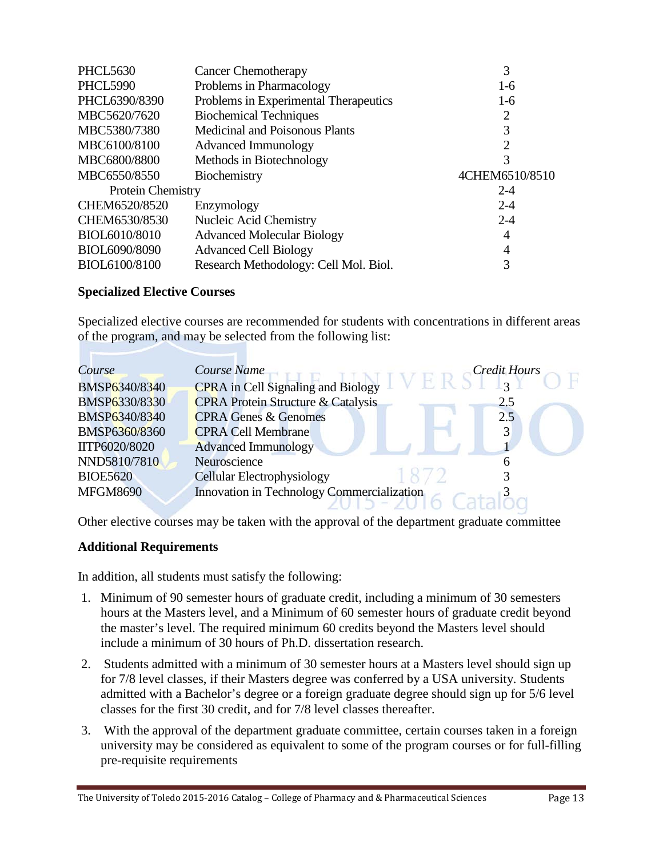| <b>PHCL5630</b>          | <b>Cancer Chemotherapy</b>            | 3              |
|--------------------------|---------------------------------------|----------------|
| <b>PHCL5990</b>          | Problems in Pharmacology              | $1-6$          |
| PHCL6390/8390            | Problems in Experimental Therapeutics | $1-6$          |
| MBC5620/7620             | <b>Biochemical Techniques</b>         | 2              |
| MBC5380/7380             | <b>Medicinal and Poisonous Plants</b> | 3              |
| MBC6100/8100             | <b>Advanced Immunology</b>            | 2              |
| MBC6800/8800             | Methods in Biotechnology              | 3              |
| MBC6550/8550             | Biochemistry                          | 4CHEM6510/8510 |
| <b>Protein Chemistry</b> |                                       | $2 - 4$        |
| CHEM6520/8520            | Enzymology                            | $2 - 4$        |
| CHEM6530/8530            | Nucleic Acid Chemistry                | $2 - 4$        |
| BIOL6010/8010            |                                       |                |
|                          | <b>Advanced Molecular Biology</b>     | 4              |
| BIOL6090/8090            | <b>Advanced Cell Biology</b>          | 4              |
| BIOL6100/8100            | Research Methodology: Cell Mol. Biol. | 3              |

#### **Specialized Elective Courses**

Specialized elective courses are recommended for students with concentrations in different areas of the program, and may be selected from the following list:

| Course               | Course Name<br><b>Credit Hours</b>                       |
|----------------------|----------------------------------------------------------|
| BMSP6340/8340        | <b>CPRA</b> in Cell Signaling and Biology<br>$3^{\circ}$ |
| <b>BMSP6330/8330</b> | <b>CPRA Protein Structure &amp; Catalysis</b><br>2.5     |
| BMSP6340/8340        | <b>CPRA Genes &amp; Genomes</b><br>2.5                   |
| BMSP6360/8360        | <b>CPRA Cell Membrane</b>                                |
| IITP6020/8020        | <b>Advanced Immunology</b>                               |
| NND5810/7810         | Neuroscience                                             |
| <b>BIOE5620</b>      | <b>Cellular Electrophysiology</b>                        |
| <b>MFGM8690</b>      | Innovation in Technology Commercialization               |
|                      |                                                          |

Other elective courses may be taken with the approval of the department graduate committee

#### **Additional Requirements**

In addition, all students must satisfy the following:

- 1. Minimum of 90 semester hours of graduate credit, including a minimum of 30 semesters hours at the Masters level, and a Minimum of 60 semester hours of graduate credit beyond the master's level. The required minimum 60 credits beyond the Masters level should include a minimum of 30 hours of Ph.D. dissertation research.
- 2. Students admitted with a minimum of 30 semester hours at a Masters level should sign up for 7/8 level classes, if their Masters degree was conferred by a USA university. Students admitted with a Bachelor's degree or a foreign graduate degree should sign up for 5/6 level classes for the first 30 credit, and for 7/8 level classes thereafter.
- 3. With the approval of the department graduate committee, certain courses taken in a foreign university may be considered as equivalent to some of the program courses or for full-filling pre-requisite requirements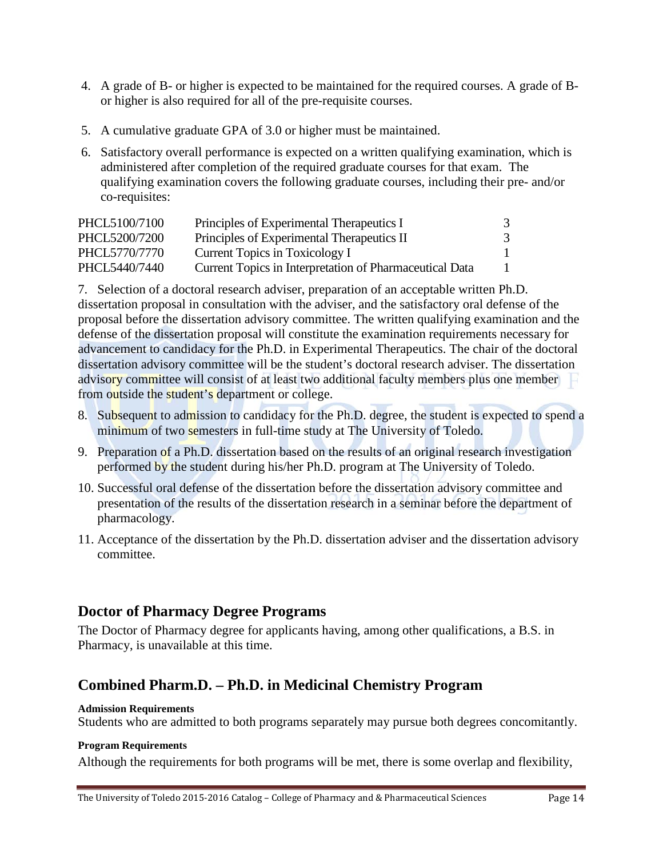- 4. A grade of B- or higher is expected to be maintained for the required courses. A grade of Bor higher is also required for all of the pre-requisite courses.
- 5. A cumulative graduate GPA of 3.0 or higher must be maintained.
- 6. Satisfactory overall performance is expected on a written qualifying examination, which is administered after completion of the required graduate courses for that exam. The qualifying examination covers the following graduate courses, including their pre- and/or co-requisites:

| PHCL5100/7100 | Principles of Experimental Therapeutics I               | 3 |
|---------------|---------------------------------------------------------|---|
| PHCL5200/7200 | Principles of Experimental Therapeutics II              | 3 |
| PHCL5770/7770 | Current Topics in Toxicology I                          |   |
| PHCL5440/7440 | Current Topics in Interpretation of Pharmaceutical Data |   |

7. Selection of a doctoral research adviser, preparation of an acceptable written Ph.D. dissertation proposal in consultation with the adviser, and the satisfactory oral defense of the proposal before the dissertation advisory committee. The written qualifying examination and the defense of the dissertation proposal will constitute the examination requirements necessary for advancement to candidacy for the Ph.D. in Experimental Therapeutics. The chair of the doctoral dissertation advisory committee will be the student's doctoral research adviser. The dissertation advisory committee will consist of at least two additional faculty members plus one member from outside the student's department or college.

- 8. Subsequent to admission to candidacy for the Ph.D. degree, the student is expected to spend a minimum of two semesters in full-time study at The University of Toledo.
- 9. Preparation of a Ph.D. dissertation based on the results of an original research investigation performed by the student during his/her Ph.D. program at The University of Toledo.
- 10. Successful oral defense of the dissertation before the dissertation advisory committee and presentation of the results of the dissertation research in a seminar before the department of pharmacology.
- 11. Acceptance of the dissertation by the Ph.D. dissertation adviser and the dissertation advisory committee.

## **Doctor of Pharmacy Degree Programs**

The Doctor of Pharmacy degree for applicants having, among other qualifications, a B.S. in Pharmacy, is unavailable at this time.

## **Combined Pharm.D. – Ph.D. in Medicinal Chemistry Program**

#### **Admission Requirements**

Students who are admitted to both programs separately may pursue both degrees concomitantly.

#### **Program Requirements**

Although the requirements for both programs will be met, there is some overlap and flexibility,